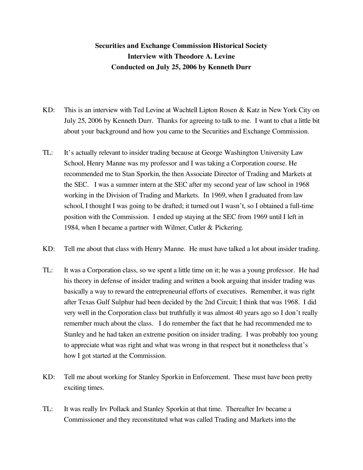## **Securities and Exchange Commission Historical Society Interview with Theodore A. Levine Conducted on July 25, 2006 by Kenneth Durr**

- KD: This is an interview with Ted Levine at Wachtell Lipton Rosen & Katz in New York City on July 25, 2006 by Kenneth Durr. Thanks for agreeing to talk to me. I want to chat a little bit about your background and how you came to the Securities and Exchange Commission.
- TL: It's actually relevant to insider trading because at George Washington University Law School, Henry Manne was my professor and I was taking a Corporation course. He recommended me to Stan Sporkin, the then Associate Director of Trading and Markets at the SEC. I was a summer intern at the SEC after my second year of law school in 1968 working in the Division of Trading and Markets. In 1969, when I graduated from law school, I thought I was going to be drafted; it turned out I wasn't, so I obtained a full-time position with the Commission. I ended up staying at the SEC from 1969 until I left in 1984, when I became a partner with Wilmer, Cutler & Pickering.
- KD: Tell me about that class with Henry Manne. He must have talked a lot about insider trading.
- TL: It was a Corporation class, so we spent a little time on it; he was a young professor. He had his theory in defense of insider trading and written a book arguing that insider trading was basically a way to reward the entrepreneurial efforts of executives. Remember, it was right after Texas Gulf Sulphur had been decided by the 2nd Circuit; I think that was 1968. I did very well in the Corporation class but truthfully it was almost 40 years ago so I don't really remember much about the class. I do remember the fact that he had recommended me to Stanley and he had taken an extreme position on insider trading. I was probably too young to appreciate what was right and what was wrong in that respect but it nonetheless that's how I got started at the Commission.
- KD: Tell me about working for Stanley Sporkin in Enforcement. These must have been pretty exciting times.
- TL: It was really Irv Pollack and Stanley Sporkin at that time. Thereafter Irv became a Commissioner and they reconstituted what was called Trading and Markets into the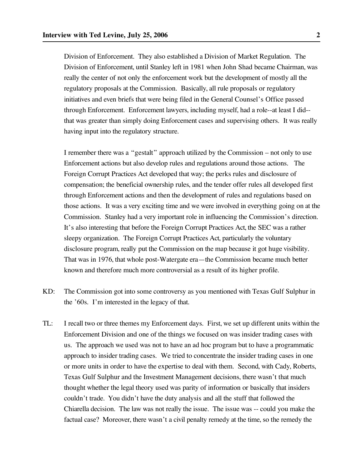Division of Enforcement. They also established a Division of Market Regulation. The Division of Enforcement, until Stanley left in 1981 when John Shad became Chairman, was really the center of not only the enforcement work but the development of mostly all the regulatory proposals at the Commission. Basically, all rule proposals or regulatory initiatives and even briefs that were being filed in the General Counsel's Office passed through Enforcement. Enforcement lawyers, including myself, had a role--at least I did- that was greater than simply doing Enforcement cases and supervising others. It was really having input into the regulatory structure.

I remember there was a "gestalt" approach utilized by the Commission – not only to use Enforcement actions but also develop rules and regulations around those actions. The Foreign Corrupt Practices Act developed that way; the perks rules and disclosure of compensation; the beneficial ownership rules, and the tender offer rules all developed first through Enforcement actions and then the development of rules and regulations based on those actions. It was a very exciting time and we were involved in everything going on at the Commission. Stanley had a very important role in influencing the Commission's direction. It's also interesting that before the Foreign Corrupt Practices Act, the SEC was a rather sleepy organization. The Foreign Corrupt Practices Act, particularly the voluntary disclosure program, really put the Commission on the map because it got huge visibility. That was in 1976, that whole post-Watergate era—the Commission became much better known and therefore much more controversial as a result of its higher profile.

- KD: The Commission got into some controversy as you mentioned with Texas Gulf Sulphur in the '60s. I'm interested in the legacy of that.
- TL: I recall two or three themes my Enforcement days. First, we set up different units within the Enforcement Division and one of the things we focused on was insider trading cases with us. The approach we used was not to have an ad hoc program but to have a programmatic approach to insider trading cases. We tried to concentrate the insider trading cases in one or more units in order to have the expertise to deal with them. Second, with Cady, Roberts, Texas Gulf Sulphur and the Investment Management decisions, there wasn't that much thought whether the legal theory used was parity of information or basically that insiders couldn't trade. You didn't have the duty analysis and all the stuff that followed the Chiarella decision. The law was not really the issue. The issue was -- could you make the factual case? Moreover, there wasn't a civil penalty remedy at the time, so the remedy the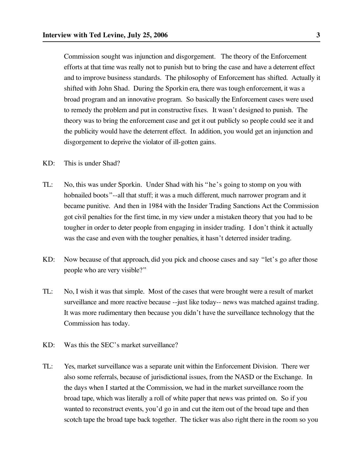Commission sought was injunction and disgorgement. The theory of the Enforcement efforts at that time was really not to punish but to bring the case and have a deterrent effect and to improve business standards. The philosophy of Enforcement has shifted. Actually it shifted with John Shad. During the Sporkin era, there was tough enforcement, it was a broad program and an innovative program. So basically the Enforcement cases were used to remedy the problem and put in constructive fixes. It wasn't designed to punish. The theory was to bring the enforcement case and get it out publicly so people could see it and the publicity would have the deterrent effect. In addition, you would get an injunction and disgorgement to deprive the violator of ill-gotten gains.

- KD: This is under Shad?
- TL: No, this was under Sporkin. Under Shad with his "he's going to stomp on you with hobnailed boots"--all that stuff; it was a much different, much narrower program and it became punitive. And then in 1984 with the Insider Trading Sanctions Act the Commission got civil penalties for the first time, in my view under a mistaken theory that you had to be tougher in order to deter people from engaging in insider trading. I don't think it actually was the case and even with the tougher penalties, it hasn't deterred insider trading.
- KD: Now because of that approach, did you pick and choose cases and say "let's go after those people who are very visible?"
- TL: No, I wish it was that simple. Most of the cases that were brought were a result of market surveillance and more reactive because --just like today-- news was matched against trading. It was more rudimentary then because you didn't have the surveillance technology that the Commission has today.
- KD: Was this the SEC's market surveillance?
- TL: Yes, market surveillance was a separate unit within the Enforcement Division. There wer also some referrals, because of jurisdictional issues, from the NASD or the Exchange. In the days when I started at the Commission, we had in the market surveillance room the broad tape, which was literally a roll of white paper that news was printed on. So if you wanted to reconstruct events, you'd go in and cut the item out of the broad tape and then scotch tape the broad tape back together. The ticker was also right there in the room so you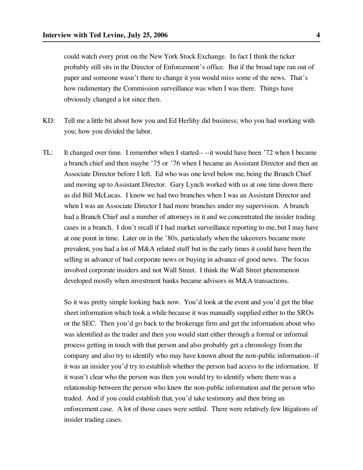could watch every print on the New York Stock Exchange. In fact I think the ticker probably still sits in the Director of Enforcement's office. But if the broad tape ran out of paper and someone wasn't there to change it you would miss some of the news. That's how rudimentary the Commission surveillance was when I was there. Things have obviously changed a lot since then.

- KD: Tell me a little bit about how you and Ed Herlihy did business; who you had working with you; how you divided the labor.
- TL: It changed over time. I remember when I started-- --it would have been '72 when I became a branch chief and then maybe '75 or '76 when I became an Assistant Director and then an Associate Director before I left. Ed who was one level below me, being the Branch Chief and moving up to Assistant Director. Gary Lynch worked with us at one time down there as did Bill McLucas. I know we had two branches when I was an Assistant Director and when I was an Associate Director I had more branches under my supervision. A branch had a Branch Chief and a number of attorneys in it and we concentrated the insider trading cases in a branch. I don't recall if I had market surveillance reporting to me, but I may have at one point in time. Later on in the '80s, particularly when the takeovers became more prevalent, you had a lot of M&A related stuff but in the early times it could have been the selling in advance of bad corporate news or buying in advance of good news. The focus involved corporate insiders and not Wall Street. I think the Wall Street phenomenon developed mostly when investment banks became advisors in M&A transactions.

So it was pretty simple looking back now. You'd look at the event and you'd get the blue sheet information which took a while because it was manually supplied either to the SROs or the SEC. Then you'd go back to the brokerage firm and get the information about who was identified as the trader and then you would start either through a formal or informal process getting in touch with that person and also probably get a chronology from the company and also try to identify who may have known about the non-public information--if it was an insider you'd try to establish whether the person had access to the information. If it wasn't clear who the person was then you would try to identify where there was a relationship between the person who knew the non-public information and the person who traded. And if you could establish that, you'd take testimony and then bring an enforcement case. A lot of those cases were settled. There were relatively few litigations of insider trading cases.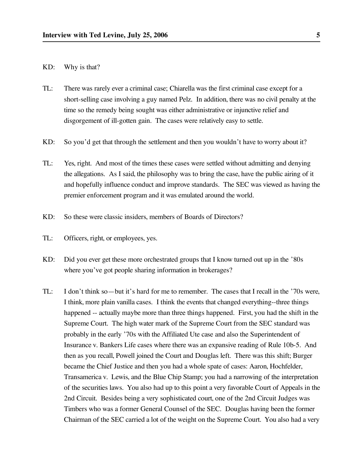## KD: Why is that?

- TL: There was rarely ever a criminal case; Chiarella was the first criminal case except for a short-selling case involving a guy named Pelz. In addition, there was no civil penalty at the time so the remedy being sought was either administrative or injunctive relief and disgorgement of ill-gotten gain. The cases were relatively easy to settle.
- KD: So you'd get that through the settlement and then you wouldn't have to worry about it?
- TL: Yes, right. And most of the times these cases were settled without admitting and denying the allegations. As I said, the philosophy was to bring the case, have the public airing of it and hopefully influence conduct and improve standards. The SEC was viewed as having the premier enforcement program and it was emulated around the world.
- KD: So these were classic insiders, members of Boards of Directors?
- TL: Officers, right, or employees, yes.
- KD: Did you ever get these more orchestrated groups that I know turned out up in the '80s where you've got people sharing information in brokerages?
- TL: I don't think so—but it's hard for me to remember. The cases that I recall in the '70s were, I think, more plain vanilla cases. I think the events that changed everything--three things happened -- actually maybe more than three things happened. First, you had the shift in the Supreme Court. The high water mark of the Supreme Court from the SEC standard was probably in the early '70s with the Affiliated Ute case and also the Superintendent of Insurance v. Bankers Life cases where there was an expansive reading of Rule 10b-5. And then as you recall, Powell joined the Court and Douglas left. There was this shift; Burger became the Chief Justice and then you had a whole spate of cases: Aaron, Hochfelder, Transamerica v. Lewis, and the Blue Chip Stamp; you had a narrowing of the interpretation of the securities laws. You also had up to this point a very favorable Court of Appeals in the 2nd Circuit. Besides being a very sophisticated court, one of the 2nd Circuit Judges was Timbers who was a former General Counsel of the SEC. Douglas having been the former Chairman of the SEC carried a lot of the weight on the Supreme Court. You also had a very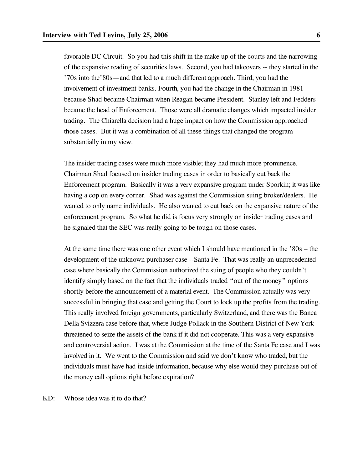favorable DC Circuit. So you had this shift in the make up of the courts and the narrowing of the expansive reading of securities laws. Second, you had takeovers -- they started in the '70s into the'80s—and that led to a much different approach. Third, you had the involvement of investment banks. Fourth, you had the change in the Chairman in 1981 because Shad became Chairman when Reagan became President. Stanley left and Fedders became the head of Enforcement. Those were all dramatic changes which impacted insider trading. The Chiarella decision had a huge impact on how the Commission approached those cases. But it was a combination of all these things that changed the program substantially in my view.

The insider trading cases were much more visible; they had much more prominence. Chairman Shad focused on insider trading cases in order to basically cut back the Enforcement program. Basically it was a very expansive program under Sporkin; it was like having a cop on every corner. Shad was against the Commission suing broker/dealers. He wanted to only name individuals. He also wanted to cut back on the expansive nature of the enforcement program. So what he did is focus very strongly on insider trading cases and he signaled that the SEC was really going to be tough on those cases.

At the same time there was one other event which I should have mentioned in the '80s – the development of the unknown purchaser case --Santa Fe. That was really an unprecedented case where basically the Commission authorized the suing of people who they couldn't identify simply based on the fact that the individuals traded "out of the money" options shortly before the announcement of a material event. The Commission actually was very successful in bringing that case and getting the Court to lock up the profits from the trading. This really involved foreign governments, particularly Switzerland, and there was the Banca Della Svizzera case before that, where Judge Pollack in the Southern District of New York threatened to seize the assets of the bank if it did not cooperate. This was a very expansive and controversial action. I was at the Commission at the time of the Santa Fe case and I was involved in it. We went to the Commission and said we don't know who traded, but the individuals must have had inside information, because why else would they purchase out of the money call options right before expiration?

KD: Whose idea was it to do that?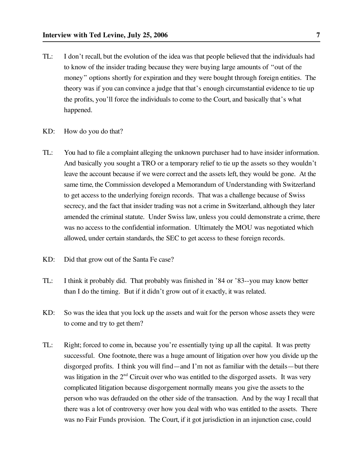- TL: I don't recall, but the evolution of the idea was that people believed that the individuals had to know of the insider trading because they were buying large amounts of "out of the money" options shortly for expiration and they were bought through foreign entities. The theory was if you can convince a judge that that's enough circumstantial evidence to tie up the profits, you'll force the individuals to come to the Court, and basically that's what happened.
- KD: How do you do that?
- TL: You had to file a complaint alleging the unknown purchaser had to have insider information. And basically you sought a TRO or a temporary relief to tie up the assets so they wouldn't leave the account because if we were correct and the assets left, they would be gone. At the same time, the Commission developed a Memorandum of Understanding with Switzerland to get access to the underlying foreign records. That was a challenge because of Swiss secrecy, and the fact that insider trading was not a crime in Switzerland, although they later amended the criminal statute. Under Swiss law, unless you could demonstrate a crime, there was no access to the confidential information. Ultimately the MOU was negotiated which allowed, under certain standards, the SEC to get access to these foreign records.
- KD: Did that grow out of the Santa Fe case?
- TL: I think it probably did. That probably was finished in '84 or '83--you may know better than I do the timing. But if it didn't grow out of it exactly, it was related.
- KD: So was the idea that you lock up the assets and wait for the person whose assets they were to come and try to get them?
- TL: Right; forced to come in, because you're essentially tying up all the capital. It was pretty successful. One footnote, there was a huge amount of litigation over how you divide up the disgorged profits. I think you will find—and I'm not as familiar with the details—but there was litigation in the  $2<sup>nd</sup>$  Circuit over who was entitled to the disgorged assets. It was very complicated litigation because disgorgement normally means you give the assets to the person who was defrauded on the other side of the transaction. And by the way I recall that there was a lot of controversy over how you deal with who was entitled to the assets. There was no Fair Funds provision. The Court, if it got jurisdiction in an injunction case, could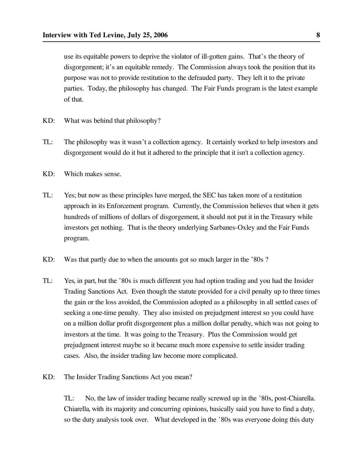use its equitable powers to deprive the violator of ill-gotten gains. That's the theory of disgorgement; it's an equitable remedy. The Commission always took the position that its purpose was not to provide restitution to the defrauded party. They left it to the private parties. Today, the philosophy has changed. The Fair Funds program is the latest example of that.

- KD: What was behind that philosophy?
- TL: The philosophy was it wasn't a collection agency. It certainly worked to help investors and disgorgement would do it but it adhered to the principle that it isn't a collection agency.
- KD: Which makes sense.
- TL: Yes; but now as these principles have merged, the SEC has taken more of a restitution approach in its Enforcement program. Currently, the Commission believes that when it gets hundreds of millions of dollars of disgorgement, it should not put it in the Treasury while investors get nothing. That is the theory underlying Sarbanes-Oxley and the Fair Funds program.
- KD: Was that partly due to when the amounts got so much larger in the '80s ?
- TL: Yes, in part, but the '80s is much different you had option trading and you had the Insider Trading Sanctions Act. Even though the statute provided for a civil penalty up to three times the gain or the loss avoided, the Commission adopted as a philosophy in all settled cases of seeking a one-time penalty. They also insisted on prejudgment interest so you could have on a million dollar profit disgorgement plus a million dollar penalty, which was not going to investors at the time. It was going to the Treasury. Plus the Commission would get prejudgment interest maybe so it became much more expensive to settle insider trading cases. Also, the insider trading law become more complicated.
- KD: The Insider Trading Sanctions Act you mean?

TL: No, the law of insider trading became really screwed up in the '80s, post-Chiarella. Chiarella, with its majority and concurring opinions, basically said you have to find a duty, so the duty analysis took over. What developed in the '80s was everyone doing this duty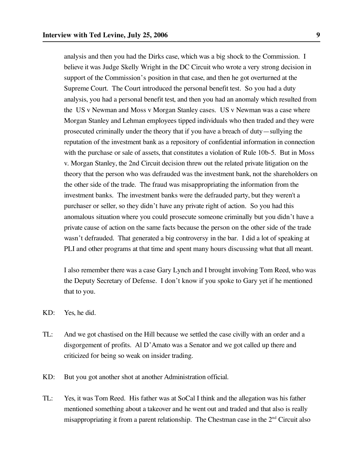analysis and then you had the Dirks case, which was a big shock to the Commission. I believe it was Judge Skelly Wright in the DC Circuit who wrote a very strong decision in support of the Commission's position in that case, and then he got overturned at the Supreme Court. The Court introduced the personal benefit test. So you had a duty analysis, you had a personal benefit test, and then you had an anomaly which resulted from the US v Newman and Moss v Morgan Stanley cases. US v Newman was a case where Morgan Stanley and Lehman employees tipped individuals who then traded and they were prosecuted criminally under the theory that if you have a breach of duty—sullying the reputation of the investment bank as a repository of confidential information in connection with the purchase or sale of assets, that constitutes a violation of Rule 10b-5. But in Moss v. Morgan Stanley, the 2nd Circuit decision threw out the related private litigation on the theory that the person who was defrauded was the investment bank, not the shareholders on the other side of the trade. The fraud was misappropriating the information from the investment banks. The investment banks were the defrauded party, but they weren't a purchaser or seller, so they didn't have any private right of action. So you had this anomalous situation where you could prosecute someone criminally but you didn't have a private cause of action on the same facts because the person on the other side of the trade wasn't defrauded. That generated a big controversy in the bar. I did a lot of speaking at PLI and other programs at that time and spent many hours discussing what that all meant.

I also remember there was a case Gary Lynch and I brought involving Tom Reed, who was the Deputy Secretary of Defense. I don't know if you spoke to Gary yet if he mentioned that to you.

- KD: Yes, he did.
- TL: And we got chastised on the Hill because we settled the case civilly with an order and a disgorgement of profits. Al D'Amato was a Senator and we got called up there and criticized for being so weak on insider trading.
- KD: But you got another shot at another Administration official.
- TL: Yes, it was Tom Reed. His father was at SoCal I think and the allegation was his father mentioned something about a takeover and he went out and traded and that also is really misappropriating it from a parent relationship. The Chestman case in the  $2<sup>nd</sup>$  Circuit also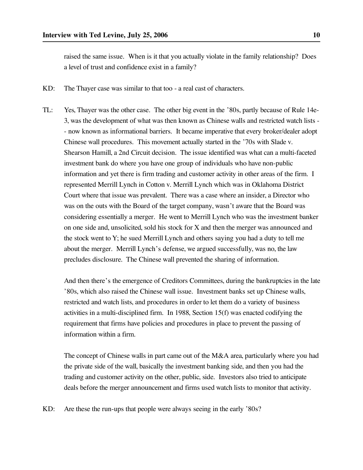raised the same issue. When is it that you actually violate in the family relationship? Does a level of trust and confidence exist in a family?

- KD: The Thayer case was similar to that too a real cast of characters.
- TL: Yes, Thayer was the other case. The other big event in the '80s, partly because of Rule 14e-3, was the development of what was then known as Chinese walls and restricted watch lists - - now known as informational barriers. It became imperative that every broker/dealer adopt Chinese wall procedures. This movement actually started in the '70s with Slade v. Shearson Hamill, a 2nd Circuit decision. The issue identified was what can a multi-faceted investment bank do where you have one group of individuals who have non-public information and yet there is firm trading and customer activity in other areas of the firm. I represented Merrill Lynch in Cotton v. Merrill Lynch which was in Oklahoma District Court where that issue was prevalent. There was a case where an insider, a Director who was on the outs with the Board of the target company, wasn't aware that the Board was considering essentially a merger. He went to Merrill Lynch who was the investment banker on one side and, unsolicited, sold his stock for X and then the merger was announced and the stock went to Y; he sued Merrill Lynch and others saying you had a duty to tell me about the merger. Merrill Lynch's defense, we argued successfully, was no, the law precludes disclosure. The Chinese wall prevented the sharing of information.

And then there's the emergence of Creditors Committees, during the bankruptcies in the late '80s, which also raised the Chinese wall issue. Investment banks set up Chinese walls, restricted and watch lists, and procedures in order to let them do a variety of business activities in a multi-disciplined firm. In 1988, Section 15(f) was enacted codifying the requirement that firms have policies and procedures in place to prevent the passing of information within a firm.

The concept of Chinese walls in part came out of the M&A area, particularly where you had the private side of the wall, basically the investment banking side, and then you had the trading and customer activity on the other, public, side. Investors also tried to anticipate deals before the merger announcement and firms used watch lists to monitor that activity.

KD: Are these the run-ups that people were always seeing in the early '80s?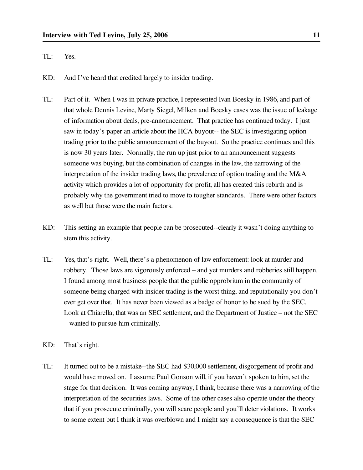## TL: Yes.

- KD: And I've heard that credited largely to insider trading.
- TL: Part of it. When I was in private practice, I represented Ivan Boesky in 1986, and part of that whole Dennis Levine, Marty Siegel, Milken and Boesky cases was the issue of leakage of information about deals, pre-announcement. That practice has continued today. I just saw in today's paper an article about the HCA buyout-- the SEC is investigating option trading prior to the public announcement of the buyout. So the practice continues and this is now 30 years later. Normally, the run up just prior to an announcement suggests someone was buying, but the combination of changes in the law, the narrowing of the interpretation of the insider trading laws, the prevalence of option trading and the M&A activity which provides a lot of opportunity for profit, all has created this rebirth and is probably why the government tried to move to tougher standards. There were other factors as well but those were the main factors.
- KD: This setting an example that people can be prosecuted--clearly it wasn't doing anything to stem this activity.
- TL: Yes, that's right. Well, there's a phenomenon of law enforcement: look at murder and robbery. Those laws are vigorously enforced – and yet murders and robberies still happen. I found among most business people that the public opprobrium in the community of someone being charged with insider trading is the worst thing, and reputationally you don't ever get over that. It has never been viewed as a badge of honor to be sued by the SEC. Look at Chiarella; that was an SEC settlement, and the Department of Justice – not the SEC – wanted to pursue him criminally.
- KD: That's right.
- TL: It turned out to be a mistake--the SEC had \$30,000 settlement, disgorgement of profit and would have moved on. I assume Paul Gonson will, if you haven't spoken to him, set the stage for that decision. It was coming anyway, I think, because there was a narrowing of the interpretation of the securities laws. Some of the other cases also operate under the theory that if you prosecute criminally, you will scare people and you'll deter violations. It works to some extent but I think it was overblown and I might say a consequence is that the SEC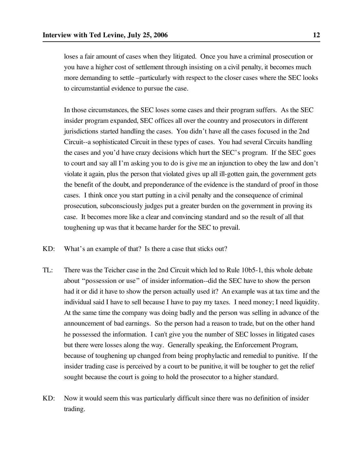loses a fair amount of cases when they litigated. Once you have a criminal prosecution or you have a higher cost of settlement through insisting on a civil penalty, it becomes much more demanding to settle –particularly with respect to the closer cases where the SEC looks to circumstantial evidence to pursue the case.

In those circumstances, the SEC loses some cases and their program suffers. As the SEC insider program expanded, SEC offices all over the country and prosecutors in different jurisdictions started handling the cases. You didn't have all the cases focused in the 2nd Circuit--a sophisticated Circuit in these types of cases. You had several Circuits handling the cases and you'd have crazy decisions which hurt the SEC's program. If the SEC goes to court and say all I'm asking you to do is give me an injunction to obey the law and don't violate it again, plus the person that violated gives up all ill-gotten gain, the government gets the benefit of the doubt, and preponderance of the evidence is the standard of proof in those cases. I think once you start putting in a civil penalty and the consequence of criminal prosecution, subconsciously judges put a greater burden on the government in proving its case. It becomes more like a clear and convincing standard and so the result of all that toughening up was that it became harder for the SEC to prevail.

- KD: What's an example of that? Is there a case that sticks out?
- TL: There was the Teicher case in the 2nd Circuit which led to Rule 10b5-1, this whole debate about "possession or use" of insider information--did the SEC have to show the person had it or did it have to show the person actually used it? An example was at tax time and the individual said I have to sell because I have to pay my taxes. I need money; I need liquidity. At the same time the company was doing badly and the person was selling in advance of the announcement of bad earnings. So the person had a reason to trade, but on the other hand he possessed the information. I can't give you the number of SEC losses in litigated cases but there were losses along the way. Generally speaking, the Enforcement Program, because of toughening up changed from being prophylactic and remedial to punitive. If the insider trading case is perceived by a court to be punitive, it will be tougher to get the relief sought because the court is going to hold the prosecutor to a higher standard.
- KD: Now it would seem this was particularly difficult since there was no definition of insider trading.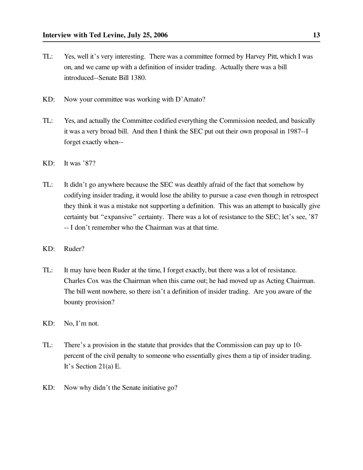- TL: Yes, well it's very interesting. There was a committee formed by Harvey Pitt, which I was on, and we came up with a definition of insider trading. Actually there was a bill introduced--Senate Bill 1380.
- KD: Now your committee was working with D'Amato?
- TL: Yes, and actually the Committee codified everything the Commission needed, and basically it was a very broad bill. And then I think the SEC put out their own proposal in 1987--I forget exactly when--
- KD: It was '87?
- TL: It didn't go anywhere because the SEC was deathly afraid of the fact that somehow by codifying insider trading, it would lose the ability to pursue a case even though in retrospect they think it was a mistake not supporting a definition. This was an attempt to basically give certainty but "expansive" certainty. There was a lot of resistance to the SEC; let's see, '87 -- I don't remember who the Chairman was at that time.
- KD: Ruder?
- TL: It may have been Ruder at the time, I forget exactly, but there was a lot of resistance. Charles Cox was the Chairman when this came out; he had moved up as Acting Chairman. The bill went nowhere, so there isn't a definition of insider trading. Are you aware of the bounty provision?
- KD: No, I'm not.
- TL: There's a provision in the statute that provides that the Commission can pay up to 10 percent of the civil penalty to someone who essentially gives them a tip of insider trading. It's Section 21(a) E.
- KD: Now why didn't the Senate initiative go?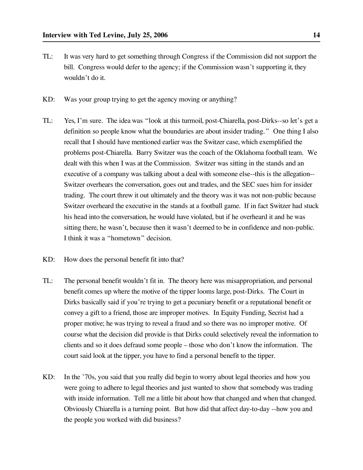- TL: It was very hard to get something through Congress if the Commission did not support the bill. Congress would defer to the agency; if the Commission wasn't supporting it, they wouldn't do it.
- KD: Was your group trying to get the agency moving or anything?
- TL: Yes, I'm sure. The idea was "look at this turmoil, post-Chiarella, post-Dirks--so let's get a definition so people know what the boundaries are about insider trading." One thing I also recall that I should have mentioned earlier was the Switzer case, which exemplified the problems post-Chiarella. Barry Switzer was the coach of the Oklahoma football team. We dealt with this when I was at the Commission. Switzer was sitting in the stands and an executive of a company was talking about a deal with someone else--this is the allegation-- Switzer overhears the conversation, goes out and trades, and the SEC sues him for insider trading. The court threw it out ultimately and the theory was it was not non-public because Switzer overheard the executive in the stands at a football game. If in fact Switzer had stuck his head into the conversation, he would have violated, but if he overheard it and he was sitting there, he wasn't, because then it wasn't deemed to be in confidence and non-public. I think it was a "hometown" decision.
- KD: How does the personal benefit fit into that?
- TL: The personal benefit wouldn't fit in. The theory here was misappropriation, and personal benefit comes up where the motive of the tipper looms large, post-Dirks. The Court in Dirks basically said if you're trying to get a pecuniary benefit or a reputational benefit or convey a gift to a friend, those are improper motives. In Equity Funding, Secrist had a proper motive; he was trying to reveal a fraud and so there was no improper motive. Of course what the decision did provide is that Dirks could selectively reveal the information to clients and so it does defraud some people – those who don't know the information. The court said look at the tipper, you have to find a personal benefit to the tipper.
- KD: In the '70s, you said that you really did begin to worry about legal theories and how you were going to adhere to legal theories and just wanted to show that somebody was trading with inside information. Tell me a little bit about how that changed and when that changed. Obviously Chiarella is a turning point. But how did that affect day-to-day --how you and the people you worked with did business?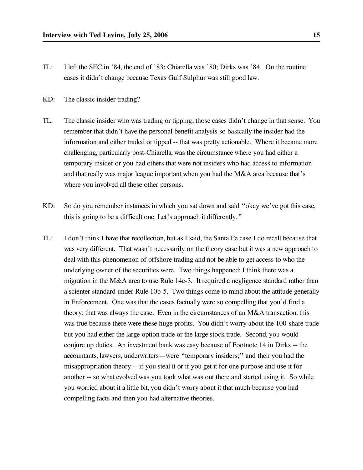- TL: I left the SEC in '84, the end of '83; Chiarella was '80; Dirks was '84. On the routine cases it didn't change because Texas Gulf Sulphur was still good law.
- KD: The classic insider trading?
- TL: The classic insider who was trading or tipping; those cases didn't change in that sense. You remember that didn't have the personal benefit analysis so basically the insider had the information and either traded or tipped -- that was pretty actionable. Where it became more challenging, particularly post-Chiarella, was the circumstance where you had either a temporary insider or you had others that were not insiders who had access to information and that really was major league important when you had the M&A area because that's where you involved all these other persons.
- KD: So do you remember instances in which you sat down and said "okay we've got this case, this is going to be a difficult one. Let's approach it differently."
- TL: I don't think I have that recollection, but as I said, the Santa Fe case I do recall because that was very different. That wasn't necessarily on the theory case but it was a new approach to deal with this phenomenon of offshore trading and not be able to get access to who the underlying owner of the securities were. Two things happened: I think there was a migration in the M&A area to use Rule 14e-3. It required a negligence standard rather than a scienter standard under Rule 10b-5. Two things come to mind about the attitude generally in Enforcement. One was that the cases factually were so compelling that you'd find a theory; that was always the case. Even in the circumstances of an M&A transaction, this was true because there were these huge profits. You didn't worry about the 100-share trade but you had either the large option trade or the large stock trade. Second, you would conjure up duties. An investment bank was easy because of Footnote 14 in Dirks -- the accountants, lawyers, underwriters—were "temporary insiders;" and then you had the misappropriation theory -- if you steal it or if you get it for one purpose and use it for another -- so what evolved was you took what was out there and started using it. So while you worried about it a little bit, you didn't worry about it that much because you had compelling facts and then you had alternative theories.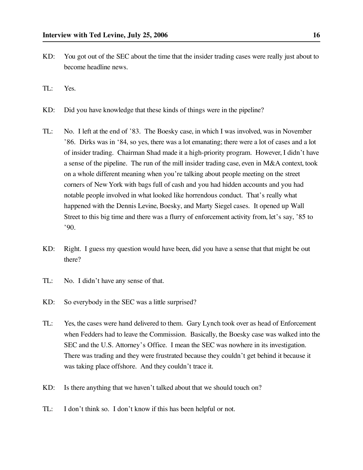- KD: You got out of the SEC about the time that the insider trading cases were really just about to become headline news.
- TL: Yes.
- KD: Did you have knowledge that these kinds of things were in the pipeline?
- TL: No. I left at the end of '83. The Boesky case, in which I was involved, was in November '86. Dirks was in '84, so yes, there was a lot emanating; there were a lot of cases and a lot of insider trading. Chairman Shad made it a high-priority program. However, I didn't have a sense of the pipeline. The run of the mill insider trading case, even in M&A context, took on a whole different meaning when you're talking about people meeting on the street corners of New York with bags full of cash and you had hidden accounts and you had notable people involved in what looked like horrendous conduct. That's really what happened with the Dennis Levine, Boesky, and Marty Siegel cases. It opened up Wall Street to this big time and there was a flurry of enforcement activity from, let's say, '85 to '90.
- KD: Right. I guess my question would have been, did you have a sense that that might be out there?
- TL: No. I didn't have any sense of that.
- KD: So everybody in the SEC was a little surprised?
- TL: Yes, the cases were hand delivered to them. Gary Lynch took over as head of Enforcement when Fedders had to leave the Commission. Basically, the Boesky case was walked into the SEC and the U.S. Attorney's Office. I mean the SEC was nowhere in its investigation. There was trading and they were frustrated because they couldn't get behind it because it was taking place offshore. And they couldn't trace it.
- KD: Is there anything that we haven't talked about that we should touch on?
- TL: I don't think so. I don't know if this has been helpful or not.